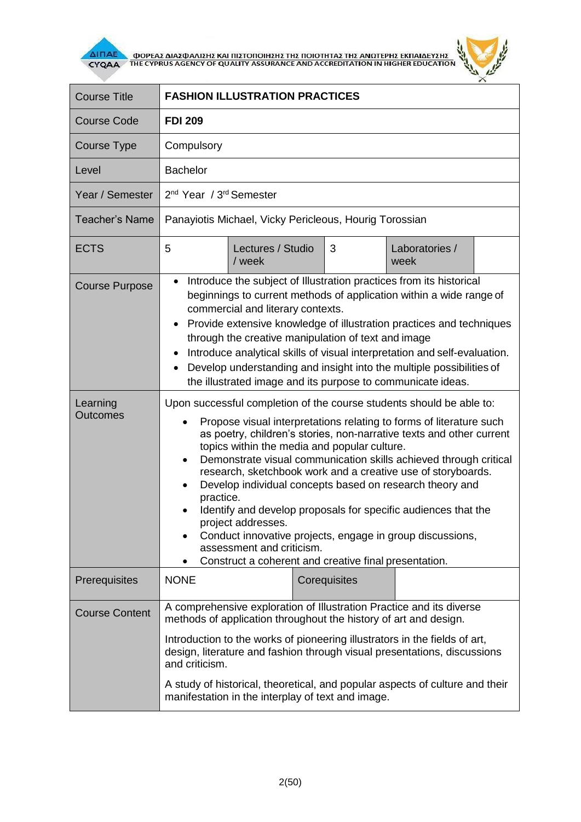

**AITIAE A OOPEAS AIAS DANISHS KAI TIISTOTOIHSHS THS TOIOTHTAS THE ANOTEPHS EKTIAIAEYSHS** 



|                                                                                                                                                                                                                                                                                                                                                                                                                                                                                                                                                                                                                                                                                                                                                        | <b>FDI 209</b>              |   |                                                                   |  |  |
|--------------------------------------------------------------------------------------------------------------------------------------------------------------------------------------------------------------------------------------------------------------------------------------------------------------------------------------------------------------------------------------------------------------------------------------------------------------------------------------------------------------------------------------------------------------------------------------------------------------------------------------------------------------------------------------------------------------------------------------------------------|-----------------------------|---|-------------------------------------------------------------------|--|--|
| Compulsory                                                                                                                                                                                                                                                                                                                                                                                                                                                                                                                                                                                                                                                                                                                                             |                             |   |                                                                   |  |  |
| <b>Bachelor</b>                                                                                                                                                                                                                                                                                                                                                                                                                                                                                                                                                                                                                                                                                                                                        |                             |   |                                                                   |  |  |
| 2 <sup>nd</sup> Year / 3 <sup>rd</sup> Semester                                                                                                                                                                                                                                                                                                                                                                                                                                                                                                                                                                                                                                                                                                        |                             |   |                                                                   |  |  |
| Panayiotis Michael, Vicky Pericleous, Hourig Torossian                                                                                                                                                                                                                                                                                                                                                                                                                                                                                                                                                                                                                                                                                                 |                             |   |                                                                   |  |  |
| 5                                                                                                                                                                                                                                                                                                                                                                                                                                                                                                                                                                                                                                                                                                                                                      | Lectures / Studio<br>/ week | 3 | Laboratories /<br>week                                            |  |  |
| Introduce the subject of Illustration practices from its historical<br>$\bullet$<br>beginnings to current methods of application within a wide range of<br>commercial and literary contexts.<br>Provide extensive knowledge of illustration practices and techniques<br>$\bullet$<br>through the creative manipulation of text and image<br>Introduce analytical skills of visual interpretation and self-evaluation.<br>$\bullet$<br>Develop understanding and insight into the multiple possibilities of<br>$\bullet$<br>the illustrated image and its purpose to communicate ideas.                                                                                                                                                                 |                             |   |                                                                   |  |  |
| Upon successful completion of the course students should be able to:<br>Propose visual interpretations relating to forms of literature such<br>as poetry, children's stories, non-narrative texts and other current<br>topics within the media and popular culture.<br>Demonstrate visual communication skills achieved through critical<br>$\bullet$<br>research, sketchbook work and a creative use of storyboards.<br>Develop individual concepts based on research theory and<br>$\bullet$<br>practice.<br>Identify and develop proposals for specific audiences that the<br>project addresses.<br>Conduct innovative projects, engage in group discussions,<br>assessment and criticism.<br>Construct a coherent and creative final presentation. |                             |   |                                                                   |  |  |
| <b>NONE</b>                                                                                                                                                                                                                                                                                                                                                                                                                                                                                                                                                                                                                                                                                                                                            |                             |   |                                                                   |  |  |
| A comprehensive exploration of Illustration Practice and its diverse<br>methods of application throughout the history of art and design.<br>Introduction to the works of pioneering illustrators in the fields of art,<br>design, literature and fashion through visual presentations, discussions<br>and criticism.<br>A study of historical, theoretical, and popular aspects of culture and their                                                                                                                                                                                                                                                                                                                                                   |                             |   |                                                                   |  |  |
|                                                                                                                                                                                                                                                                                                                                                                                                                                                                                                                                                                                                                                                                                                                                                        |                             |   | Corequisites<br>manifestation in the interplay of text and image. |  |  |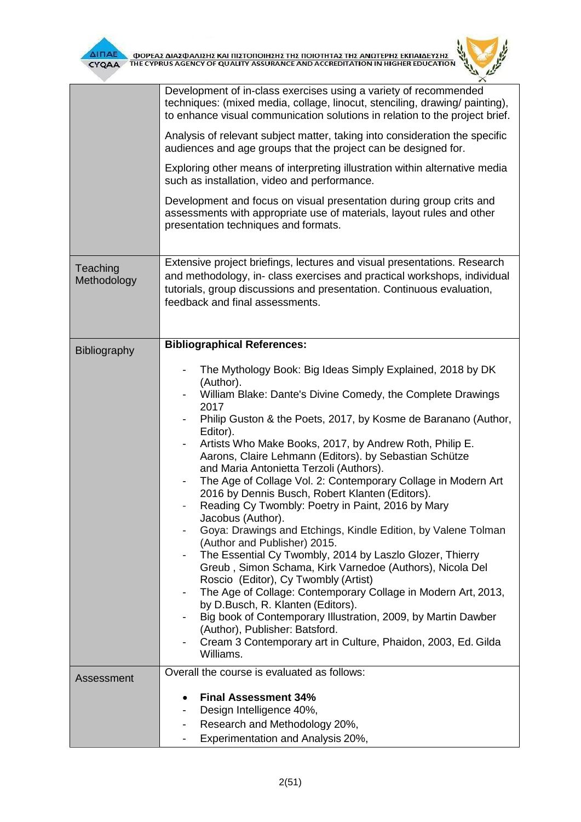

|                         | Development of in-class exercises using a variety of recommended<br>techniques: (mixed media, collage, linocut, stenciling, drawing/ painting),<br>to enhance visual communication solutions in relation to the project brief.                                                                                                                                                                                                                                                                                                                                                                                                                                                                                                                                                                                                                                                                                                                                                                                                                                                                                                                     |
|-------------------------|----------------------------------------------------------------------------------------------------------------------------------------------------------------------------------------------------------------------------------------------------------------------------------------------------------------------------------------------------------------------------------------------------------------------------------------------------------------------------------------------------------------------------------------------------------------------------------------------------------------------------------------------------------------------------------------------------------------------------------------------------------------------------------------------------------------------------------------------------------------------------------------------------------------------------------------------------------------------------------------------------------------------------------------------------------------------------------------------------------------------------------------------------|
|                         | Analysis of relevant subject matter, taking into consideration the specific<br>audiences and age groups that the project can be designed for.                                                                                                                                                                                                                                                                                                                                                                                                                                                                                                                                                                                                                                                                                                                                                                                                                                                                                                                                                                                                      |
|                         | Exploring other means of interpreting illustration within alternative media<br>such as installation, video and performance.                                                                                                                                                                                                                                                                                                                                                                                                                                                                                                                                                                                                                                                                                                                                                                                                                                                                                                                                                                                                                        |
|                         | Development and focus on visual presentation during group crits and<br>assessments with appropriate use of materials, layout rules and other<br>presentation techniques and formats.                                                                                                                                                                                                                                                                                                                                                                                                                                                                                                                                                                                                                                                                                                                                                                                                                                                                                                                                                               |
| Teaching<br>Methodology | Extensive project briefings, lectures and visual presentations. Research<br>and methodology, in- class exercises and practical workshops, individual<br>tutorials, group discussions and presentation. Continuous evaluation,<br>feedback and final assessments.                                                                                                                                                                                                                                                                                                                                                                                                                                                                                                                                                                                                                                                                                                                                                                                                                                                                                   |
| Bibliography            | <b>Bibliographical References:</b>                                                                                                                                                                                                                                                                                                                                                                                                                                                                                                                                                                                                                                                                                                                                                                                                                                                                                                                                                                                                                                                                                                                 |
|                         | The Mythology Book: Big Ideas Simply Explained, 2018 by DK<br>(Author).<br>William Blake: Dante's Divine Comedy, the Complete Drawings<br>2017<br>Philip Guston & the Poets, 2017, by Kosme de Baranano (Author,<br>Editor).<br>Artists Who Make Books, 2017, by Andrew Roth, Philip E.<br>Aarons, Claire Lehmann (Editors). by Sebastian Schütze<br>and Maria Antonietta Terzoli (Authors).<br>The Age of Collage Vol. 2: Contemporary Collage in Modern Art<br>2016 by Dennis Busch, Robert Klanten (Editors).<br>Reading Cy Twombly: Poetry in Paint, 2016 by Mary<br>Jacobus (Author).<br>Goya: Drawings and Etchings, Kindle Edition, by Valene Tolman<br>(Author and Publisher) 2015.<br>The Essential Cy Twombly, 2014 by Laszlo Glozer, Thierry<br>Greub, Simon Schama, Kirk Varnedoe (Authors), Nicola Del<br>Roscio (Editor), Cy Twombly (Artist)<br>The Age of Collage: Contemporary Collage in Modern Art, 2013,<br>by D.Busch, R. Klanten (Editors).<br>Big book of Contemporary Illustration, 2009, by Martin Dawber<br>(Author), Publisher: Batsford.<br>Cream 3 Contemporary art in Culture, Phaidon, 2003, Ed. Gilda<br>Williams. |
| Assessment              | Overall the course is evaluated as follows:                                                                                                                                                                                                                                                                                                                                                                                                                                                                                                                                                                                                                                                                                                                                                                                                                                                                                                                                                                                                                                                                                                        |
|                         | <b>Final Assessment 34%</b>                                                                                                                                                                                                                                                                                                                                                                                                                                                                                                                                                                                                                                                                                                                                                                                                                                                                                                                                                                                                                                                                                                                        |
|                         | Design Intelligence 40%,                                                                                                                                                                                                                                                                                                                                                                                                                                                                                                                                                                                                                                                                                                                                                                                                                                                                                                                                                                                                                                                                                                                           |
|                         | Research and Methodology 20%,                                                                                                                                                                                                                                                                                                                                                                                                                                                                                                                                                                                                                                                                                                                                                                                                                                                                                                                                                                                                                                                                                                                      |
|                         | Experimentation and Analysis 20%,                                                                                                                                                                                                                                                                                                                                                                                                                                                                                                                                                                                                                                                                                                                                                                                                                                                                                                                                                                                                                                                                                                                  |